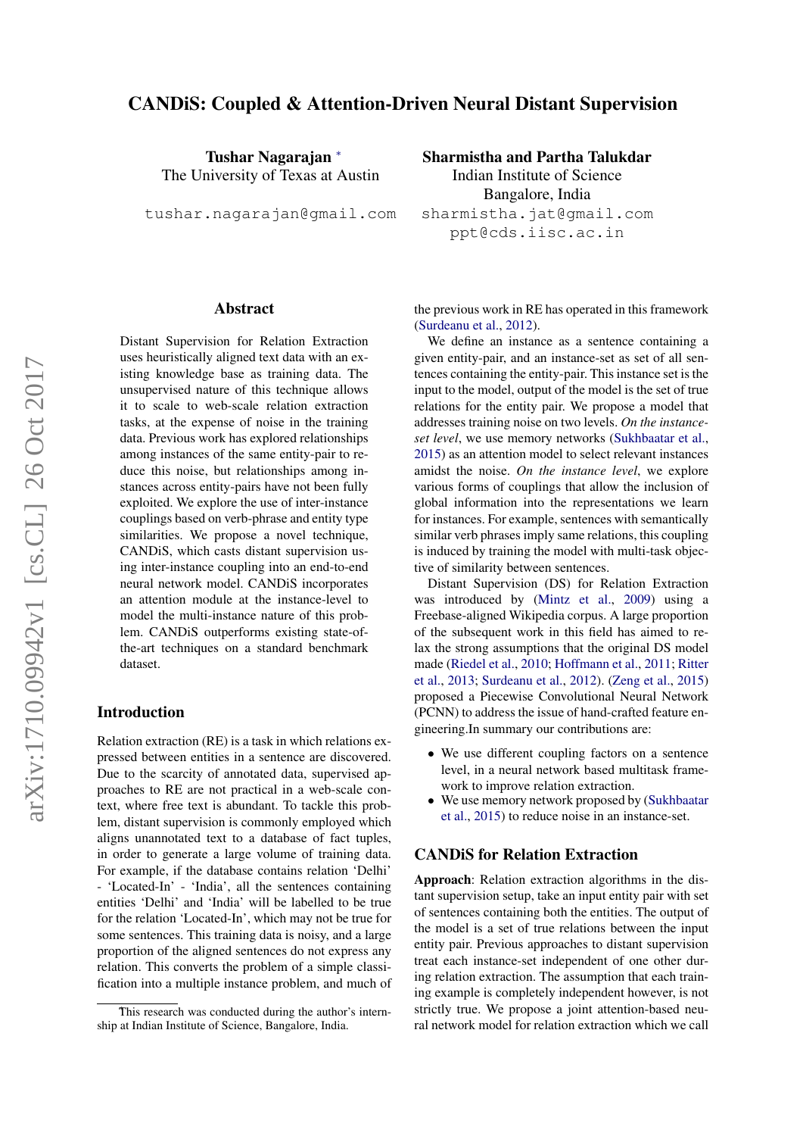# CANDiS: Coupled & Attention-Driven Neural Distant Supervision

Tushar Nagarajan <sup>∗</sup> The University of Texas at Austin

tushar.nagarajan@gmail.com

# Sharmistha and Partha Talukdar

Indian Institute of Science Bangalore, India sharmistha.jat@gmail.com ppt@cds.iisc.ac.in

# Abstract

Distant Supervision for Relation Extraction uses heuristically aligned text data with an existing knowledge base as training data. The unsupervised nature of this technique allows it to scale to web-scale relation extraction tasks, at the expense of noise in the training data. Previous work has explored relationships among instances of the same entity-pair to reduce this noise, but relationships among instances across entity-pairs have not been fully exploited. We explore the use of inter-instance couplings based on verb-phrase and entity type similarities. We propose a novel technique, CANDiS, which casts distant supervision using inter-instance coupling into an end-to-end neural network model. CANDiS incorporates an attention module at the instance-level to model the multi-instance nature of this problem. CANDiS outperforms existing state-ofthe-art techniques on a standard benchmark dataset.

### Introduction

Relation extraction (RE) is a task in which relations expressed between entities in a sentence are discovered. Due to the scarcity of annotated data, supervised approaches to RE are not practical in a web-scale context, where free text is abundant. To tackle this problem, distant supervision is commonly employed which aligns unannotated text to a database of fact tuples, in order to generate a large volume of training data. For example, if the database contains relation 'Delhi' - 'Located-In' - 'India', all the sentences containing entities 'Delhi' and 'India' will be labelled to be true for the relation 'Located-In', which may not be true for some sentences. This training data is noisy, and a large proportion of the aligned sentences do not express any relation. This converts the problem of a simple classification into a multiple instance problem, and much of the previous work in RE has operated in this framework [\(Surdeanu et al.,](#page-3-0) [2012\)](#page-3-0).

We define an instance as a sentence containing a given entity-pair, and an instance-set as set of all sentences containing the entity-pair. This instance set is the input to the model, output of the model is the set of true relations for the entity pair. We propose a model that addresses training noise on two levels. *On the instanceset level*, we use memory networks [\(Sukhbaatar et al.,](#page-3-1) [2015\)](#page-3-1) as an attention model to select relevant instances amidst the noise. *On the instance level*, we explore various forms of couplings that allow the inclusion of global information into the representations we learn for instances. For example, sentences with semantically similar verb phrases imply same relations, this coupling is induced by training the model with multi-task objective of similarity between sentences.

Distant Supervision (DS) for Relation Extraction was introduced by [\(Mintz et al.,](#page-3-2) [2009\)](#page-3-2) using a Freebase-aligned Wikipedia corpus. A large proportion of the subsequent work in this field has aimed to relax the strong assumptions that the original DS model made [\(Riedel et al.,](#page-3-3) [2010;](#page-3-3) [Hoffmann et al.,](#page-3-4) [2011;](#page-3-4) [Ritter](#page-3-5) [et al.,](#page-3-5) [2013;](#page-3-5) [Surdeanu et al.,](#page-3-0) [2012\)](#page-3-0). [\(Zeng et al.,](#page-3-6) [2015\)](#page-3-6) proposed a Piecewise Convolutional Neural Network (PCNN) to address the issue of hand-crafted feature engineering.In summary our contributions are:

- We use different coupling factors on a sentence level, in a neural network based multitask framework to improve relation extraction.
- We use memory network proposed by [\(Sukhbaatar](#page-3-1) [et al.,](#page-3-1) [2015\)](#page-3-1) to reduce noise in an instance-set.

### CANDiS for Relation Extraction

Approach: Relation extraction algorithms in the distant supervision setup, take an input entity pair with set of sentences containing both the entities. The output of the model is a set of true relations between the input entity pair. Previous approaches to distant supervision treat each instance-set independent of one other during relation extraction. The assumption that each training example is completely independent however, is not strictly true. We propose a joint attention-based neural network model for relation extraction which we call

This research was conducted during the author's internship at Indian Institute of Science, Bangalore, India.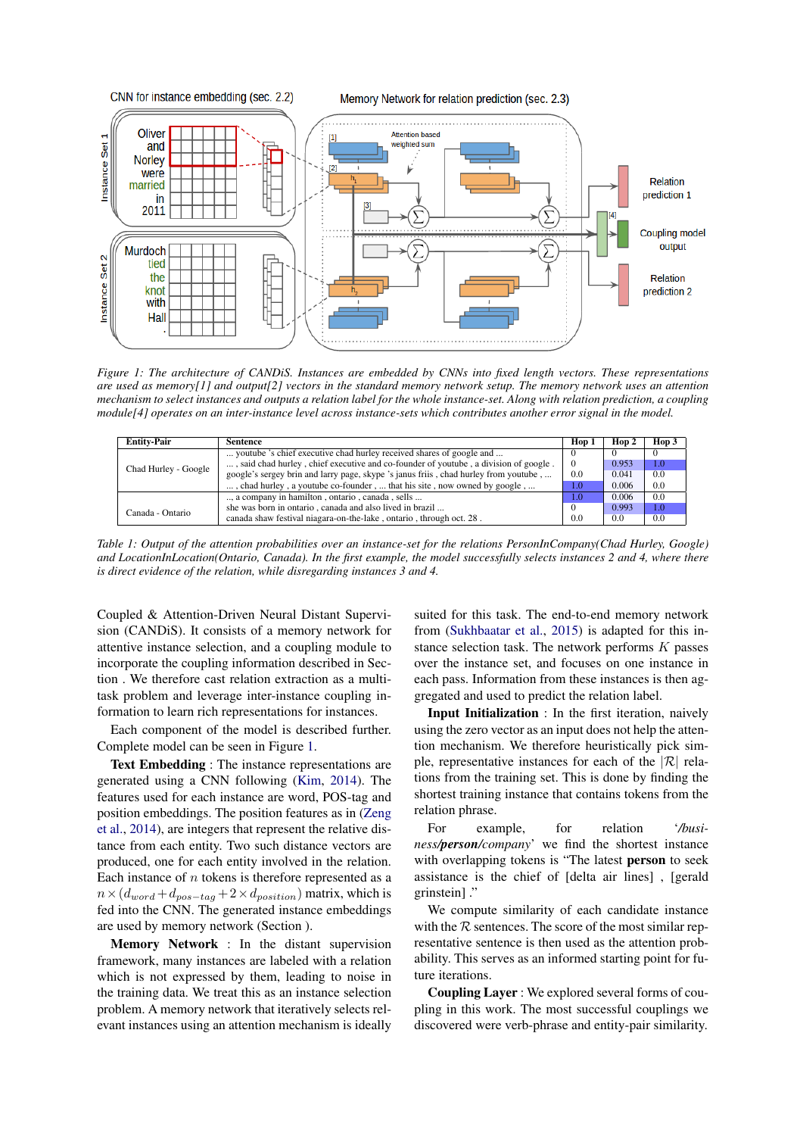<span id="page-1-0"></span>

*Figure 1: The architecture of CANDiS. Instances are embedded by CNNs into fixed length vectors. These representations are used as memory[1] and output[2] vectors in the standard memory network setup. The memory network uses an attention mechanism to select instances and outputs a relation label for the whole instance-set. Along with relation prediction, a coupling module[4] operates on an inter-instance level across instance-sets which contributes another error signal in the model.*

| <b>Entity-Pair</b>   | Sentence                                                                             | Hop 1 | Hop 2 | Hop 3 |
|----------------------|--------------------------------------------------------------------------------------|-------|-------|-------|
| Chad Hurley - Google | youtube 's chief executive chad hurley received shares of google and                 |       |       |       |
|                      | , said chad hurley, chief executive and co-founder of youtube, a division of google. |       | 0.953 | 1.0   |
|                      | google's sergey brin and larry page, skype 's janus friis, chad hurley from youtube, | 0.0   | 0.041 | 0.0   |
|                      | , chad hurley, a youtube co-founder,  that his site, now owned by google,            | 1.0   | 0.006 | 0.0   |
|                      | , a company in hamilton, ontario, canada, sells                                      | 1.0   | 0.006 | 0.0   |
| Canada - Ontario     | she was born in ontario, canada and also lived in brazil                             |       | 0.993 | 1.0   |
|                      | canada shaw festival niagara-on-the-lake, ontario, through oct. 28.                  | 0.0   | 0.0   | 0.0   |

*Table 1: Output of the attention probabilities over an instance-set for the relations PersonInCompany(Chad Hurley, Google) and LocationInLocation(Ontario, Canada). In the first example, the model successfully selects instances 2 and 4, where there is direct evidence of the relation, while disregarding instances 3 and 4.*

Coupled & Attention-Driven Neural Distant Supervision (CANDiS). It consists of a memory network for attentive instance selection, and a coupling module to incorporate the coupling information described in Section . We therefore cast relation extraction as a multitask problem and leverage inter-instance coupling information to learn rich representations for instances.

Each component of the model is described further. Complete model can be seen in Figure [1.](#page-1-0)

Text Embedding : The instance representations are generated using a CNN following [\(Kim,](#page-3-7) [2014\)](#page-3-7). The features used for each instance are word, POS-tag and position embeddings. The position features as in [\(Zeng](#page-3-8) [et al.,](#page-3-8) [2014\)](#page-3-8), are integers that represent the relative distance from each entity. Two such distance vectors are produced, one for each entity involved in the relation. Each instance of  $n$  tokens is therefore represented as a  $n \times (d_{word} + d_{pos-tag} + 2 \times d_{position})$  matrix, which is fed into the CNN. The generated instance embeddings are used by memory network (Section ).

Memory Network : In the distant supervision framework, many instances are labeled with a relation which is not expressed by them, leading to noise in the training data. We treat this as an instance selection problem. A memory network that iteratively selects relevant instances using an attention mechanism is ideally suited for this task. The end-to-end memory network from [\(Sukhbaatar et al.,](#page-3-1) [2015\)](#page-3-1) is adapted for this instance selection task. The network performs  $K$  passes over the instance set, and focuses on one instance in each pass. Information from these instances is then aggregated and used to predict the relation label.

Input Initialization : In the first iteration, naively using the zero vector as an input does not help the attention mechanism. We therefore heuristically pick simple, representative instances for each of the  $|R|$  relations from the training set. This is done by finding the shortest training instance that contains tokens from the relation phrase.

For example, for relation '*/business/person/company*' we find the shortest instance with overlapping tokens is "The latest person to seek assistance is the chief of [delta air lines] , [gerald grinstein] ."

We compute similarity of each candidate instance with the  $R$  sentences. The score of the most similar representative sentence is then used as the attention probability. This serves as an informed starting point for future iterations.

Coupling Layer : We explored several forms of coupling in this work. The most successful couplings we discovered were verb-phrase and entity-pair similarity.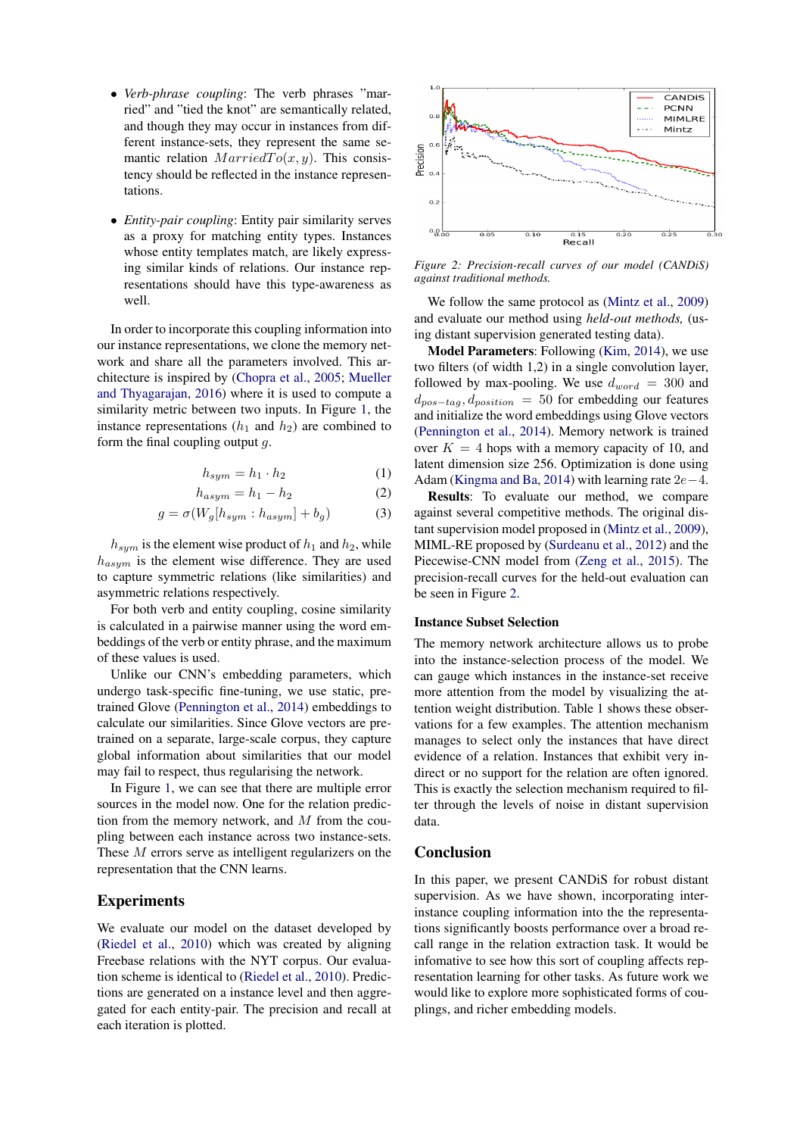- *Verb-phrase coupling*: The verb phrases "married" and "tied the knot" are semantically related, and though they may occur in instances from different instance-sets, they represent the same semantic relation  $MarriedTo(x, y)$ . This consistency should be reflected in the instance representations.
- *Entity-pair coupling*: Entity pair similarity serves as a proxy for matching entity types. Instances whose entity templates match, are likely expressing similar kinds of relations. Our instance representations should have this type-awareness as well.

In order to incorporate this coupling information into our instance representations, we clone the memory network and share all the parameters involved. This architecture is inspired by [\(Chopra et al.,](#page-3-9) [2005;](#page-3-9) [Mueller](#page-3-10) [and Thyagarajan,](#page-3-10) [2016\)](#page-3-10) where it is used to compute a similarity metric between two inputs. In Figure [1,](#page-1-0) the instance representations  $(h_1 \text{ and } h_2)$  are combined to form the final coupling output  $q$ .

$$
h_{sym} = h_1 \cdot h_2 \tag{1}
$$

$$
h_{asym} = h_1 - h_2 \tag{2}
$$

$$
g = \sigma(W_g[h_{sym} : h_{asym}] + b_g)
$$
 (3)

 $h_{sym}$  is the element wise product of  $h_1$  and  $h_2$ , while  $h_{asym}$  is the element wise difference. They are used to capture symmetric relations (like similarities) and asymmetric relations respectively.

For both verb and entity coupling, cosine similarity is calculated in a pairwise manner using the word embeddings of the verb or entity phrase, and the maximum of these values is used.

Unlike our CNN's embedding parameters, which undergo task-specific fine-tuning, we use static, pretrained Glove [\(Pennington et al.,](#page-3-11) [2014\)](#page-3-11) embeddings to calculate our similarities. Since Glove vectors are pretrained on a separate, large-scale corpus, they capture global information about similarities that our model may fail to respect, thus regularising the network.

In Figure [1,](#page-1-0) we can see that there are multiple error sources in the model now. One for the relation prediction from the memory network, and  $M$  from the coupling between each instance across two instance-sets. These M errors serve as intelligent regularizers on the representation that the CNN learns.

# Experiments

We evaluate our model on the dataset developed by [\(Riedel et al.,](#page-3-3) [2010\)](#page-3-3) which was created by aligning Freebase relations with the NYT corpus. Our evaluation scheme is identical to [\(Riedel et al.,](#page-3-3) [2010\)](#page-3-3). Predictions are generated on a instance level and then aggregated for each entity-pair. The precision and recall at each iteration is plotted.

<span id="page-2-0"></span>

*Figure 2: Precision-recall curves of our model (CANDiS) against traditional methods.*

We follow the same protocol as [\(Mintz et al.,](#page-3-2) [2009\)](#page-3-2) and evaluate our method using *held-out methods,* (using distant supervision generated testing data).

Model Parameters: Following [\(Kim,](#page-3-7) [2014\)](#page-3-7), we use two filters (of width 1,2) in a single convolution layer, followed by max-pooling. We use  $d_{word} = 300$  and  $d_{pos-tag}$ ,  $d_{position}$  = 50 for embedding our features and initialize the word embeddings using Glove vectors [\(Pennington et al.,](#page-3-11) [2014\)](#page-3-11). Memory network is trained over  $K = 4$  hops with a memory capacity of 10, and latent dimension size 256. Optimization is done using Adam [\(Kingma and Ba,](#page-3-12) [2014\)](#page-3-12) with learning rate  $2e-4$ .

Results: To evaluate our method, we compare against several competitive methods. The original distant supervision model proposed in [\(Mintz et al.,](#page-3-2) [2009\)](#page-3-2), MIML-RE proposed by [\(Surdeanu et al.,](#page-3-0) [2012\)](#page-3-0) and the Piecewise-CNN model from [\(Zeng et al.,](#page-3-6) [2015\)](#page-3-6). The precision-recall curves for the held-out evaluation can be seen in Figure [2.](#page-2-0)

#### Instance Subset Selection

The memory network architecture allows us to probe into the instance-selection process of the model. We can gauge which instances in the instance-set receive more attention from the model by visualizing the attention weight distribution. Table 1 shows these observations for a few examples. The attention mechanism manages to select only the instances that have direct evidence of a relation. Instances that exhibit very indirect or no support for the relation are often ignored. This is exactly the selection mechanism required to filter through the levels of noise in distant supervision data.

## Conclusion

In this paper, we present CANDiS for robust distant supervision. As we have shown, incorporating interinstance coupling information into the the representations significantly boosts performance over a broad recall range in the relation extraction task. It would be infomative to see how this sort of coupling affects representation learning for other tasks. As future work we would like to explore more sophisticated forms of couplings, and richer embedding models.